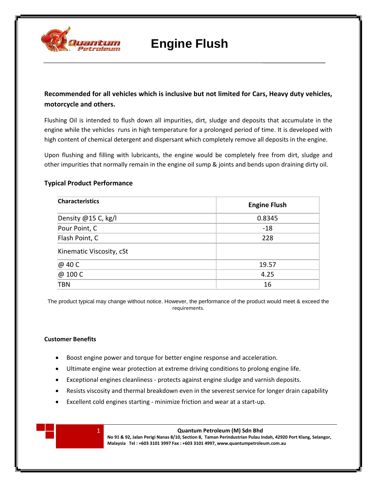

## **Engine Flush**

**Recommended for all vehicles which is inclusive but not limited for Cars, Heavy duty vehicles, motorcycle and others.**

Flushing Oil is intended to flush down all impurities, dirt, sludge and deposits that accumulate in the engine while the vehicles runs in high temperature for a prolonged period of time. It is developed with high content of chemical detergent and dispersant which completely remove all deposits in the engine.

Upon flushing and filling with lubricants, the engine would be completely free from dirt, sludge and other impurities that normally remain in the engine oil sump & joints and bends upon draining dirty oil.

## **Typical Product Performance**

| <b>Characteristics</b>   | <b>Engine Flush</b> |
|--------------------------|---------------------|
| Density @15 C, kg/l      | 0.8345              |
| Pour Point, C            | $-18$               |
| Flash Point, C           | 228                 |
| Kinematic Viscosity, cSt |                     |
| @ 40 C                   | 19.57               |
| @ 100 C                  | 4.25                |
| TBN                      | 16                  |

The product typical may change without notice. However, the performance of the product would meet & exceed the requirements.

#### **Customer Benefits**

- Boost engine power and torque for better engine response and acceleration.
- Ultimate engine wear protection at extreme driving conditions to prolong engine life.
- Exceptional engines cleanliness protects against engine sludge and varnish deposits.
- Resists viscosity and thermal breakdown even in the severest service for longer drain capability
- Excellent cold engines starting minimize friction and wear at a start-up.



1 **Quantum Petroleum (M) Sdn Bhd**

**No 91 & 92, Jalan Perigi Nanas 8/10, Section 8, Taman Perindustrian Pulau Indah, 42920 Port Klang, Selangor, Malaysia Tel : +603 3101 3997 Fax : +603 3101 4997, www.quantumpetroleum.com.au**